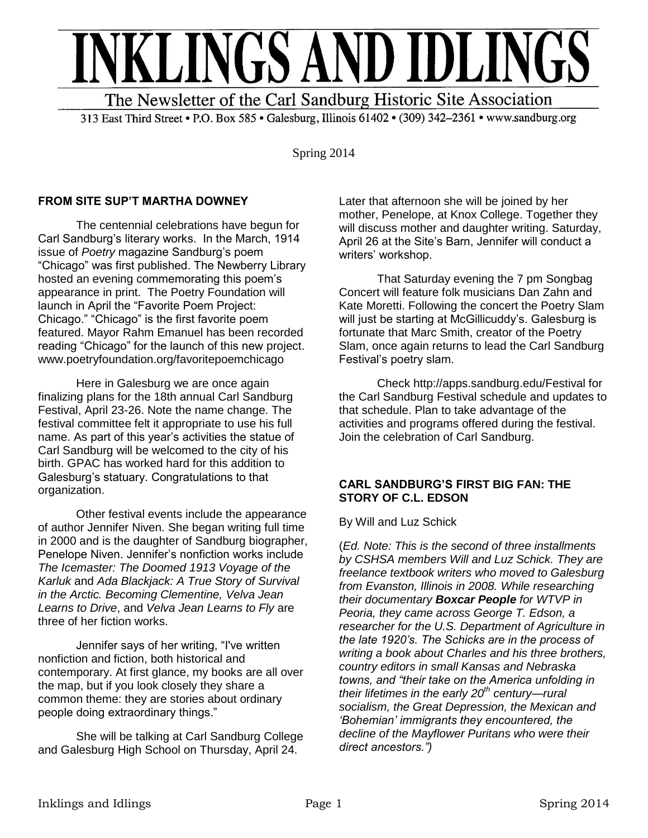

313 East Third Street • P.O. Box 585 • Galesburg, Illinois 61402 • (309) 342–2361 • www.sandburg.org

Spring 2014

# **FROM SITE SUP'T MARTHA DOWNEY**

The centennial celebrations have begun for Carl Sandburg's literary works. In the March, 1914 issue of *Poetry* magazine Sandburg's poem "Chicago" was first published. The Newberry Library hosted an evening commemorating this poem's appearance in print. The Poetry Foundation will launch in April the "Favorite Poem Project: Chicago." "Chicago" is the first favorite poem featured. Mayor Rahm Emanuel has been recorded reading "Chicago" for the launch of this new project. www.poetryfoundation.org/favoritepoemchicago

Here in Galesburg we are once again finalizing plans for the 18th annual Carl Sandburg Festival, April 23-26. Note the name change. The festival committee felt it appropriate to use his full name. As part of this year's activities the statue of Carl Sandburg will be welcomed to the city of his birth. GPAC has worked hard for this addition to Galesburg's statuary. Congratulations to that organization.

Other festival events include the appearance of author Jennifer Niven. She began writing full time in 2000 and is the daughter of Sandburg biographer, Penelope Niven. Jennifer's nonfiction works include *The Icemaster: The Doomed 1913 Voyage of the Karluk* and *Ada Blackjack: A True Story of Survival in the Arctic. Becoming Clementine, Velva Jean Learns to Drive*, and *Velva Jean Learns to Fly* are three of her fiction works.

Jennifer says of her writing, "I've written nonfiction and fiction, both historical and contemporary. At first glance, my books are all over the map, but if you look closely they share a common theme: they are stories about ordinary people doing extraordinary things."

She will be talking at Carl Sandburg College and Galesburg High School on Thursday, April 24.

Later that afternoon she will be joined by her mother, Penelope, at Knox College. Together they will discuss mother and daughter writing. Saturday, April 26 at the Site's Barn, Jennifer will conduct a writers' workshop.

That Saturday evening the 7 pm Songbag Concert will feature folk musicians Dan Zahn and Kate Moretti. Following the concert the Poetry Slam will just be starting at McGillicuddy's. Galesburg is fortunate that Marc Smith, creator of the Poetry Slam, once again returns to lead the Carl Sandburg Festival's poetry slam.

Check http://apps.sandburg.edu/Festival for the Carl Sandburg Festival schedule and updates to that schedule. Plan to take advantage of the activities and programs offered during the festival. Join the celebration of Carl Sandburg.

## **CARL SANDBURG'S FIRST BIG FAN: THE STORY OF C.L. EDSON**

By Will and Luz Schick

(*Ed. Note: This is the second of three installments by CSHSA members Will and Luz Schick. They are freelance textbook writers who moved to Galesburg from Evanston, Illinois in 2008. While researching their documentary Boxcar People for WTVP in Peoria, they came across George T. Edson, a researcher for the U.S. Department of Agriculture in the late 1920's. The Schicks are in the process of writing a book about Charles and his three brothers, country editors in small Kansas and Nebraska towns, and "their take on the America unfolding in their lifetimes in the early 20th century—rural socialism, the Great Depression, the Mexican and 'Bohemian' immigrants they encountered, the decline of the Mayflower Puritans who were their direct ancestors.")*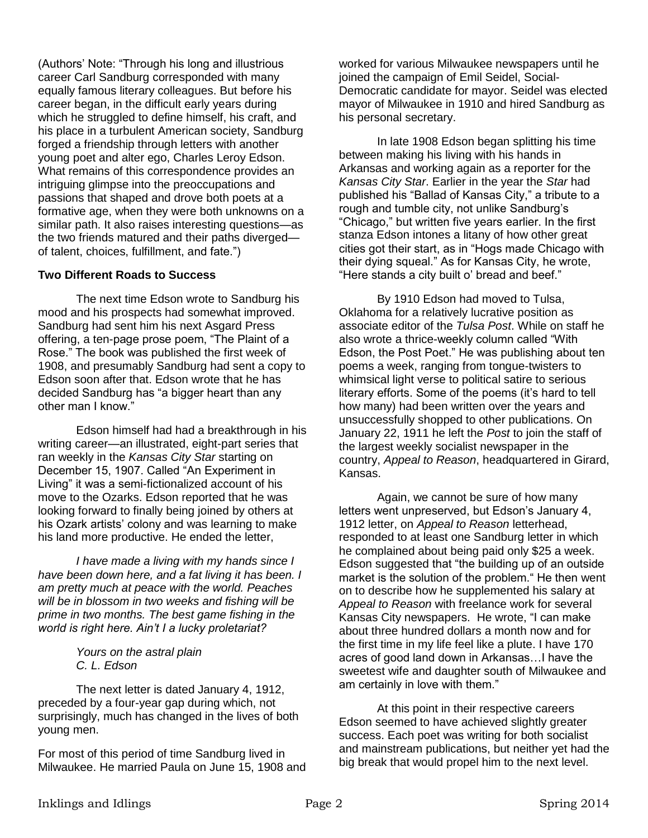(Authors' Note: "Through his long and illustrious career Carl Sandburg corresponded with many equally famous literary colleagues. But before his career began, in the difficult early years during which he struggled to define himself, his craft, and his place in a turbulent American society, Sandburg forged a friendship through letters with another young poet and alter ego, Charles Leroy Edson. What remains of this correspondence provides an intriguing glimpse into the preoccupations and passions that shaped and drove both poets at a formative age, when they were both unknowns on a similar path. It also raises interesting questions—as the two friends matured and their paths diverged of talent, choices, fulfillment, and fate.")

#### **Two Different Roads to Success**

The next time Edson wrote to Sandburg his mood and his prospects had somewhat improved. Sandburg had sent him his next Asgard Press offering, a ten-page prose poem, "The Plaint of a Rose." The book was published the first week of 1908, and presumably Sandburg had sent a copy to Edson soon after that. Edson wrote that he has decided Sandburg has "a bigger heart than any other man I know."

Edson himself had had a breakthrough in his writing career—an illustrated, eight-part series that ran weekly in the *Kansas City Star* starting on December 15, 1907. Called "An Experiment in Living" it was a semi-fictionalized account of his move to the Ozarks. Edson reported that he was looking forward to finally being joined by others at his Ozark artists' colony and was learning to make his land more productive. He ended the letter,

*I have made a living with my hands since I have been down here, and a fat living it has been. I am pretty much at peace with the world. Peaches will be in blossom in two weeks and fishing will be prime in two months. The best game fishing in the world is right here. Ain't I a lucky proletariat?*

> *Yours on the astral plain C. L. Edson*

The next letter is dated January 4, 1912, preceded by a four-year gap during which, not surprisingly, much has changed in the lives of both young men.

For most of this period of time Sandburg lived in Milwaukee. He married Paula on June 15, 1908 and worked for various Milwaukee newspapers until he joined the campaign of Emil Seidel, Social-Democratic candidate for mayor. Seidel was elected mayor of Milwaukee in 1910 and hired Sandburg as his personal secretary.

In late 1908 Edson began splitting his time between making his living with his hands in Arkansas and working again as a reporter for the *Kansas City Star*. Earlier in the year the *Star* had published his "Ballad of Kansas City," a tribute to a rough and tumble city, not unlike Sandburg's "Chicago," but written five years earlier. In the first stanza Edson intones a litany of how other great cities got their start, as in "Hogs made Chicago with their dying squeal." As for Kansas City, he wrote, "Here stands a city built o' bread and beef."

By 1910 Edson had moved to Tulsa, Oklahoma for a relatively lucrative position as associate editor of the *Tulsa Post*. While on staff he also wrote a thrice-weekly column called "With Edson, the Post Poet." He was publishing about ten poems a week, ranging from tongue-twisters to whimsical light verse to political satire to serious literary efforts. Some of the poems (it's hard to tell how many) had been written over the years and unsuccessfully shopped to other publications. On January 22, 1911 he left the *Post* to join the staff of the largest weekly socialist newspaper in the country, *Appeal to Reason*, headquartered in Girard, Kansas.

Again, we cannot be sure of how many letters went unpreserved, but Edson's January 4, 1912 letter, on *Appeal to Reason* letterhead, responded to at least one Sandburg letter in which he complained about being paid only \$25 a week. Edson suggested that "the building up of an outside market is the solution of the problem." He then went on to describe how he supplemented his salary at *Appeal to Reason* with freelance work for several Kansas City newspapers. He wrote, "I can make about three hundred dollars a month now and for the first time in my life feel like a plute. I have 170 acres of good land down in Arkansas…I have the sweetest wife and daughter south of Milwaukee and am certainly in love with them."

At this point in their respective careers Edson seemed to have achieved slightly greater success. Each poet was writing for both socialist and mainstream publications, but neither yet had the big break that would propel him to the next level.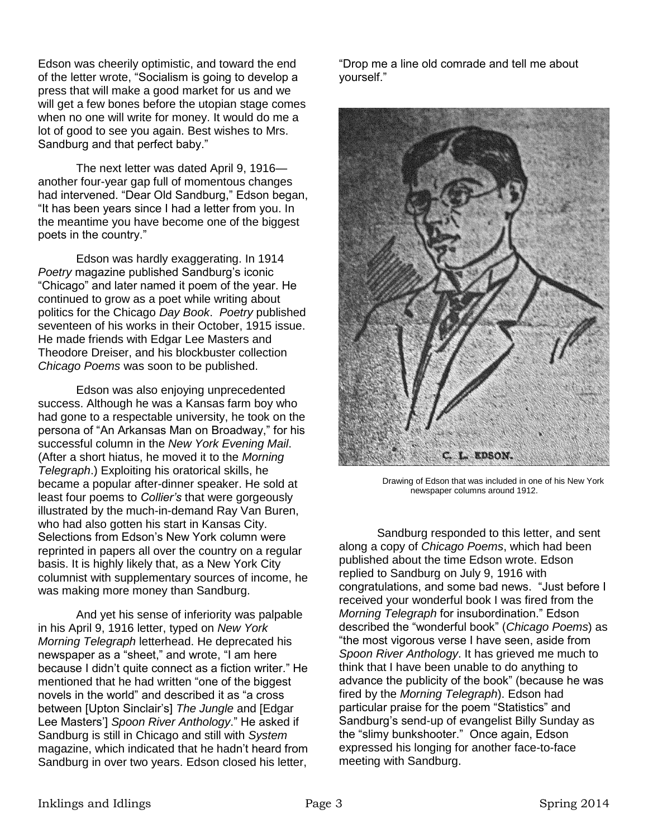Edson was cheerily optimistic, and toward the end of the letter wrote, "Socialism is going to develop a press that will make a good market for us and we will get a few bones before the utopian stage comes when no one will write for money. It would do me a lot of good to see you again. Best wishes to Mrs. Sandburg and that perfect baby."

The next letter was dated April 9, 1916 another four-year gap full of momentous changes had intervened. "Dear Old Sandburg," Edson began, "It has been years since I had a letter from you. In the meantime you have become one of the biggest poets in the country."

Edson was hardly exaggerating. In 1914 *Poetry* magazine published Sandburg's iconic "Chicago" and later named it poem of the year. He continued to grow as a poet while writing about politics for the Chicago *Day Book*. *Poetry* published seventeen of his works in their October, 1915 issue. He made friends with Edgar Lee Masters and Theodore Dreiser, and his blockbuster collection *Chicago Poems* was soon to be published.

Edson was also enjoying unprecedented success. Although he was a Kansas farm boy who had gone to a respectable university, he took on the persona of "An Arkansas Man on Broadway," for his successful column in the *New York Evening Mail*. (After a short hiatus, he moved it to the *Morning Telegraph*.) Exploiting his oratorical skills, he became a popular after-dinner speaker. He sold at least four poems to *Collier's* that were gorgeously illustrated by the much-in-demand Ray Van Buren, who had also gotten his start in Kansas City. Selections from Edson's New York column were reprinted in papers all over the country on a regular basis. It is highly likely that, as a New York City columnist with supplementary sources of income, he was making more money than Sandburg.

And yet his sense of inferiority was palpable in his April 9, 1916 letter, typed on *New York Morning Telegraph* letterhead. He deprecated his newspaper as a "sheet," and wrote, "I am here because I didn't quite connect as a fiction writer." He mentioned that he had written "one of the biggest novels in the world" and described it as "a cross between [Upton Sinclair's] *The Jungle* and [Edgar Lee Masters'] *Spoon River Anthology*." He asked if Sandburg is still in Chicago and still with *System* magazine, which indicated that he hadn't heard from Sandburg in over two years. Edson closed his letter,

"Drop me a line old comrade and tell me about yourself."



Drawing of Edson that was included in one of his New York newspaper columns around 1912.

Sandburg responded to this letter, and sent along a copy of *Chicago Poems*, which had been published about the time Edson wrote. Edson replied to Sandburg on July 9, 1916 with congratulations, and some bad news. "Just before I received your wonderful book I was fired from the *Morning Telegraph* for insubordination." Edson described the "wonderful book" (*Chicago Poems*) as "the most vigorous verse I have seen, aside from *Spoon River Anthology*. It has grieved me much to think that I have been unable to do anything to advance the publicity of the book" (because he was fired by the *Morning Telegraph*). Edson had particular praise for the poem "Statistics" and Sandburg's send-up of evangelist Billy Sunday as the "slimy bunkshooter." Once again, Edson expressed his longing for another face-to-face meeting with Sandburg.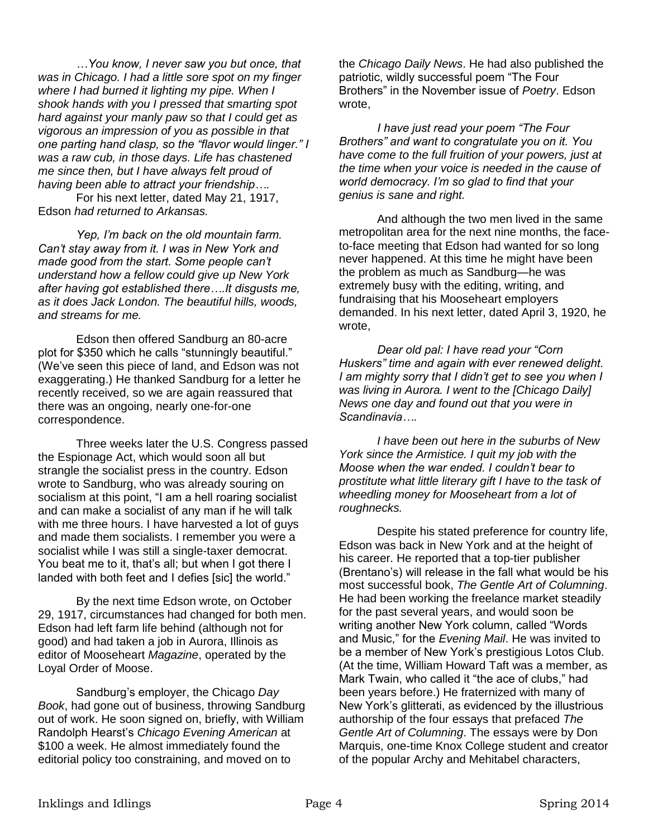*…You know, I never saw you but once, that was in Chicago. I had a little sore spot on my finger where I had burned it lighting my pipe. When I shook hands with you I pressed that smarting spot hard against your manly paw so that I could get as vigorous an impression of you as possible in that one parting hand clasp, so the "flavor would linger." I was a raw cub, in those days. Life has chastened me since then, but I have always felt proud of having been able to attract your friendship….*

For his next letter, dated May 21, 1917, Edson *had returned to Arkansas.*

*Yep, I'm back on the old mountain farm. Can't stay away from it. I was in New York and made good from the start. Some people can't understand how a fellow could give up New York after having got established there….It disgusts me, as it does Jack London. The beautiful hills, woods, and streams for me.* 

Edson then offered Sandburg an 80-acre plot for \$350 which he calls "stunningly beautiful." (We've seen this piece of land, and Edson was not exaggerating.) He thanked Sandburg for a letter he recently received, so we are again reassured that there was an ongoing, nearly one-for-one correspondence.

Three weeks later the U.S. Congress passed the Espionage Act, which would soon all but strangle the socialist press in the country. Edson wrote to Sandburg, who was already souring on socialism at this point, "I am a hell roaring socialist and can make a socialist of any man if he will talk with me three hours. I have harvested a lot of guys and made them socialists. I remember you were a socialist while I was still a single-taxer democrat. You beat me to it, that's all; but when I got there I landed with both feet and I defies [sic] the world."

By the next time Edson wrote, on October 29, 1917, circumstances had changed for both men. Edson had left farm life behind (although not for good) and had taken a job in Aurora, Illinois as editor of Mooseheart *Magazine*, operated by the Loyal Order of Moose.

Sandburg's employer, the Chicago *Day Book*, had gone out of business, throwing Sandburg out of work. He soon signed on, briefly, with William Randolph Hearst's *Chicago Evening American* at \$100 a week. He almost immediately found the editorial policy too constraining, and moved on to

the *Chicago Daily News*. He had also published the patriotic, wildly successful poem "The Four Brothers" in the November issue of *Poetry*. Edson wrote,

*I have just read your poem "The Four Brothers" and want to congratulate you on it. You have come to the full fruition of your powers, just at the time when your voice is needed in the cause of world democracy. I'm so glad to find that your genius is sane and right.*

And although the two men lived in the same metropolitan area for the next nine months, the faceto-face meeting that Edson had wanted for so long never happened. At this time he might have been the problem as much as Sandburg—he was extremely busy with the editing, writing, and fundraising that his Mooseheart employers demanded. In his next letter, dated April 3, 1920, he wrote,

*Dear old pal: I have read your "Corn Huskers" time and again with ever renewed delight. I am mighty sorry that I didn't get to see you when I was living in Aurora. I went to the [Chicago Daily] News one day and found out that you were in Scandinavia….*

*I have been out here in the suburbs of New York since the Armistice. I quit my job with the Moose when the war ended. I couldn't bear to prostitute what little literary gift I have to the task of wheedling money for Mooseheart from a lot of roughnecks.* 

Despite his stated preference for country life, Edson was back in New York and at the height of his career. He reported that a top-tier publisher (Brentano's) will release in the fall what would be his most successful book, *The Gentle Art of Columning*. He had been working the freelance market steadily for the past several years, and would soon be writing another New York column, called "Words and Music," for the *Evening Mail*. He was invited to be a member of New York's prestigious Lotos Club. (At the time, William Howard Taft was a member, as Mark Twain, who called it "the ace of clubs," had been years before.) He fraternized with many of New York's glitterati, as evidenced by the illustrious authorship of the four essays that prefaced *The Gentle Art of Columning*. The essays were by Don Marquis, one-time Knox College student and creator of the popular Archy and Mehitabel characters,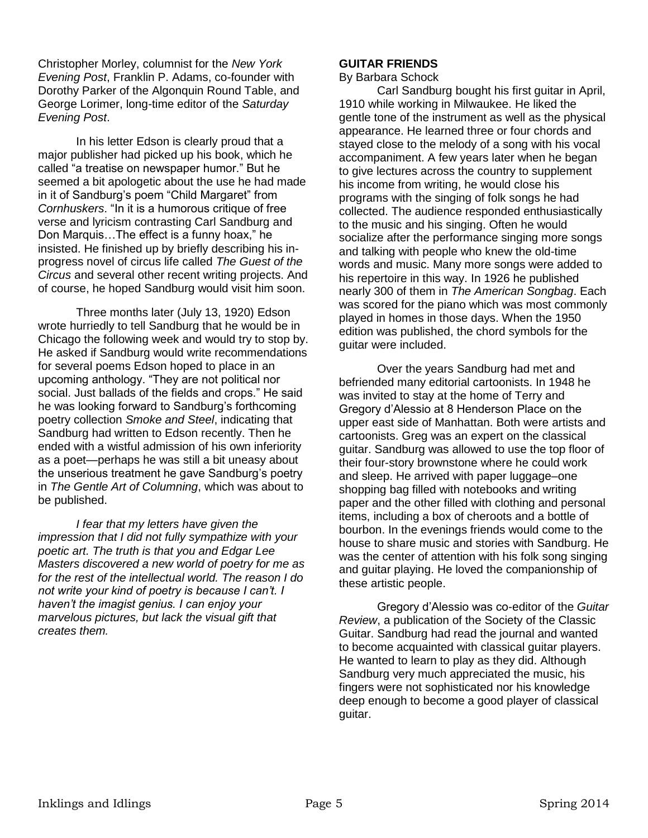Christopher Morley, columnist for the *New York Evening Post*, Franklin P. Adams, co-founder with Dorothy Parker of the Algonquin Round Table, and George Lorimer, long-time editor of the *Saturday Evening Post*.

In his letter Edson is clearly proud that a major publisher had picked up his book, which he called "a treatise on newspaper humor." But he seemed a bit apologetic about the use he had made in it of Sandburg's poem "Child Margaret" from *Cornhuskers*. "In it is a humorous critique of free verse and lyricism contrasting Carl Sandburg and Don Marquis…The effect is a funny hoax," he insisted. He finished up by briefly describing his inprogress novel of circus life called *The Guest of the Circus* and several other recent writing projects. And of course, he hoped Sandburg would visit him soon.

Three months later (July 13, 1920) Edson wrote hurriedly to tell Sandburg that he would be in Chicago the following week and would try to stop by. He asked if Sandburg would write recommendations for several poems Edson hoped to place in an upcoming anthology. "They are not political nor social. Just ballads of the fields and crops." He said he was looking forward to Sandburg's forthcoming poetry collection *Smoke and Steel*, indicating that Sandburg had written to Edson recently. Then he ended with a wistful admission of his own inferiority as a poet—perhaps he was still a bit uneasy about the unserious treatment he gave Sandburg's poetry in *The Gentle Art of Columning*, which was about to be published.

*I fear that my letters have given the impression that I did not fully sympathize with your poetic art. The truth is that you and Edgar Lee Masters discovered a new world of poetry for me as for the rest of the intellectual world. The reason I do not write your kind of poetry is because I can't. I haven't the imagist genius. I can enjoy your marvelous pictures, but lack the visual gift that creates them.*

## **GUITAR FRIENDS**

#### By Barbara Schock

Carl Sandburg bought his first guitar in April, 1910 while working in Milwaukee. He liked the gentle tone of the instrument as well as the physical appearance. He learned three or four chords and stayed close to the melody of a song with his vocal accompaniment. A few years later when he began to give lectures across the country to supplement his income from writing, he would close his programs with the singing of folk songs he had collected. The audience responded enthusiastically to the music and his singing. Often he would socialize after the performance singing more songs and talking with people who knew the old-time words and music. Many more songs were added to his repertoire in this way. In 1926 he published nearly 300 of them in *The American Songbag*. Each was scored for the piano which was most commonly played in homes in those days. When the 1950 edition was published, the chord symbols for the guitar were included.

Over the years Sandburg had met and befriended many editorial cartoonists. In 1948 he was invited to stay at the home of Terry and Gregory d'Alessio at 8 Henderson Place on the upper east side of Manhattan. Both were artists and cartoonists. Greg was an expert on the classical guitar. Sandburg was allowed to use the top floor of their four-story brownstone where he could work and sleep. He arrived with paper luggage–one shopping bag filled with notebooks and writing paper and the other filled with clothing and personal items, including a box of cheroots and a bottle of bourbon. In the evenings friends would come to the house to share music and stories with Sandburg. He was the center of attention with his folk song singing and guitar playing. He loved the companionship of these artistic people.

Gregory d'Alessio was co-editor of the *Guitar Review*, a publication of the Society of the Classic Guitar. Sandburg had read the journal and wanted to become acquainted with classical guitar players. He wanted to learn to play as they did. Although Sandburg very much appreciated the music, his fingers were not sophisticated nor his knowledge deep enough to become a good player of classical guitar.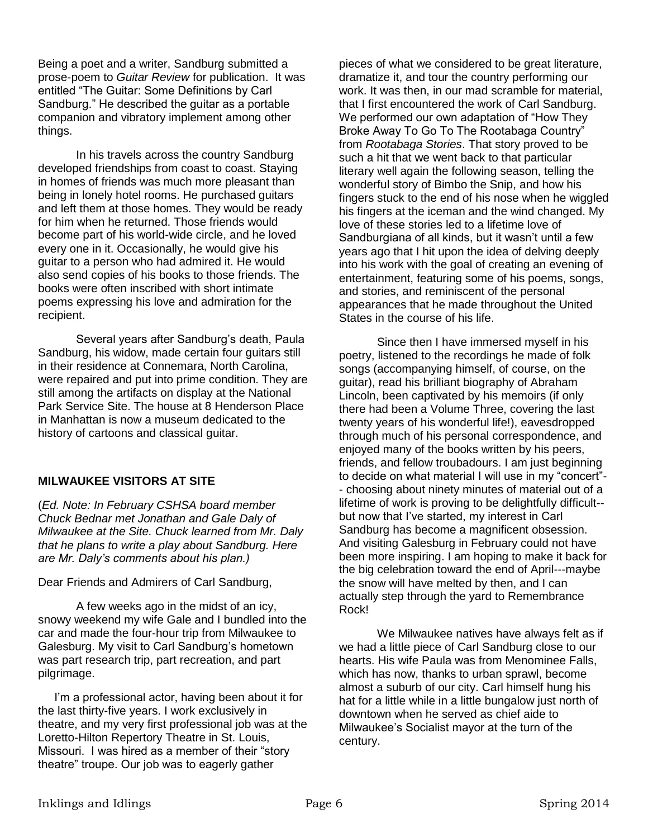Being a poet and a writer, Sandburg submitted a prose-poem to *Guitar Review* for publication. It was entitled "The Guitar: Some Definitions by Carl Sandburg." He described the guitar as a portable companion and vibratory implement among other things.

In his travels across the country Sandburg developed friendships from coast to coast. Staying in homes of friends was much more pleasant than being in lonely hotel rooms. He purchased guitars and left them at those homes. They would be ready for him when he returned. Those friends would become part of his world-wide circle, and he loved every one in it. Occasionally, he would give his guitar to a person who had admired it. He would also send copies of his books to those friends. The books were often inscribed with short intimate poems expressing his love and admiration for the recipient.

Several years after Sandburg's death, Paula Sandburg, his widow, made certain four guitars still in their residence at Connemara, North Carolina, were repaired and put into prime condition. They are still among the artifacts on display at the National Park Service Site. The house at 8 Henderson Place in Manhattan is now a museum dedicated to the history of cartoons and classical guitar.

## **MILWAUKEE VISITORS AT SITE**

(*Ed. Note: In February CSHSA board member Chuck Bednar met Jonathan and Gale Daly of Milwaukee at the Site. Chuck learned from Mr. Daly that he plans to write a play about Sandburg. Here are Mr. Daly's comments about his plan.)*

Dear Friends and Admirers of Carl Sandburg,

A few weeks ago in the midst of an icy, snowy weekend my wife Gale and I bundled into the car and made the four-hour trip from Milwaukee to Galesburg. My visit to Carl Sandburg's hometown was part research trip, part recreation, and part pilgrimage.

 I'm a professional actor, having been about it for the last thirty-five years. I work exclusively in theatre, and my very first professional job was at the Loretto-Hilton Repertory Theatre in St. Louis, Missouri. I was hired as a member of their "story theatre" troupe. Our job was to eagerly gather

pieces of what we considered to be great literature, dramatize it, and tour the country performing our work. It was then, in our mad scramble for material, that I first encountered the work of Carl Sandburg. We performed our own adaptation of "How They Broke Away To Go To The Rootabaga Country" from *Rootabaga Stories*. That story proved to be such a hit that we went back to that particular literary well again the following season, telling the wonderful story of Bimbo the Snip, and how his fingers stuck to the end of his nose when he wiggled his fingers at the iceman and the wind changed. My love of these stories led to a lifetime love of Sandburgiana of all kinds, but it wasn't until a few years ago that I hit upon the idea of delving deeply into his work with the goal of creating an evening of entertainment, featuring some of his poems, songs, and stories, and reminiscent of the personal appearances that he made throughout the United States in the course of his life.

Since then I have immersed myself in his poetry, listened to the recordings he made of folk songs (accompanying himself, of course, on the guitar), read his brilliant biography of Abraham Lincoln, been captivated by his memoirs (if only there had been a Volume Three, covering the last twenty years of his wonderful life!), eavesdropped through much of his personal correspondence, and enjoyed many of the books written by his peers, friends, and fellow troubadours. I am just beginning to decide on what material I will use in my "concert"- - choosing about ninety minutes of material out of a lifetime of work is proving to be delightfully difficult- but now that I've started, my interest in Carl Sandburg has become a magnificent obsession. And visiting Galesburg in February could not have been more inspiring. I am hoping to make it back for the big celebration toward the end of April---maybe the snow will have melted by then, and I can actually step through the yard to Remembrance Rock!

We Milwaukee natives have always felt as if we had a little piece of Carl Sandburg close to our hearts. His wife Paula was from Menominee Falls, which has now, thanks to urban sprawl, become almost a suburb of our city. Carl himself hung his hat for a little while in a little bungalow just north of downtown when he served as chief aide to Milwaukee's Socialist mayor at the turn of the century.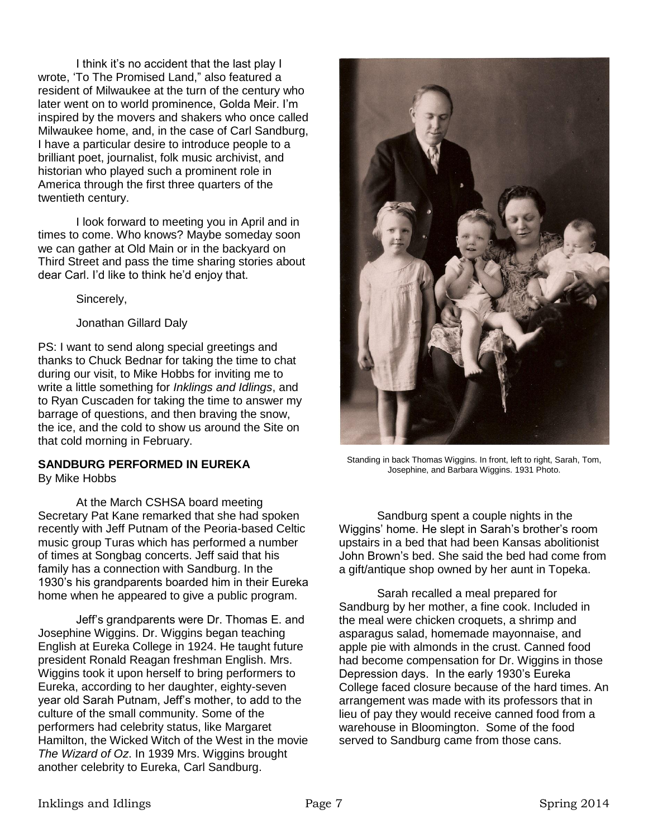I think it's no accident that the last play I wrote, 'To The Promised Land," also featured a resident of Milwaukee at the turn of the century who later went on to world prominence, Golda Meir. I'm inspired by the movers and shakers who once called Milwaukee home, and, in the case of Carl Sandburg, I have a particular desire to introduce people to a brilliant poet, journalist, folk music archivist, and historian who played such a prominent role in America through the first three quarters of the twentieth century.

I look forward to meeting you in April and in times to come. Who knows? Maybe someday soon we can gather at Old Main or in the backyard on Third Street and pass the time sharing stories about dear Carl. I'd like to think he'd enjoy that.

Sincerely,

Jonathan Gillard Daly

PS: I want to send along special greetings and thanks to Chuck Bednar for taking the time to chat during our visit, to Mike Hobbs for inviting me to write a little something for *Inklings and Idlings*, and to Ryan Cuscaden for taking the time to answer my barrage of questions, and then braving the snow, the ice, and the cold to show us around the Site on that cold morning in February.

# **SANDBURG PERFORMED IN EUREKA**

By Mike Hobbs

At the March CSHSA board meeting Secretary Pat Kane remarked that she had spoken recently with Jeff Putnam of the Peoria-based Celtic music group Turas which has performed a number of times at Songbag concerts. Jeff said that his family has a connection with Sandburg. In the 1930's his grandparents boarded him in their Eureka home when he appeared to give a public program.

Jeff's grandparents were Dr. Thomas E. and Josephine Wiggins. Dr. Wiggins began teaching English at Eureka College in 1924. He taught future president Ronald Reagan freshman English. Mrs. Wiggins took it upon herself to bring performers to Eureka, according to her daughter, eighty-seven year old Sarah Putnam, Jeff's mother, to add to the culture of the small community. Some of the performers had celebrity status, like Margaret Hamilton, the Wicked Witch of the West in the movie *The Wizard of Oz*. In 1939 Mrs. Wiggins brought another celebrity to Eureka, Carl Sandburg.



Standing in back Thomas Wiggins. In front, left to right, Sarah, Tom, Josephine, and Barbara Wiggins. 1931 Photo.

Sandburg spent a couple nights in the Wiggins' home. He slept in Sarah's brother's room upstairs in a bed that had been Kansas abolitionist John Brown's bed. She said the bed had come from a gift/antique shop owned by her aunt in Topeka.

Sarah recalled a meal prepared for Sandburg by her mother, a fine cook. Included in the meal were chicken croquets, a shrimp and asparagus salad, homemade mayonnaise, and apple pie with almonds in the crust. Canned food had become compensation for Dr. Wiggins in those Depression days. In the early 1930's Eureka College faced closure because of the hard times. An arrangement was made with its professors that in lieu of pay they would receive canned food from a warehouse in Bloomington. Some of the food served to Sandburg came from those cans.